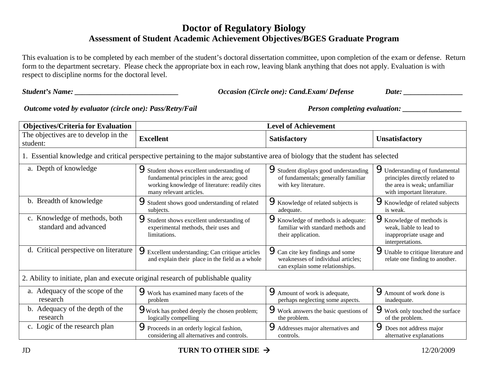## **Doctor of Regulatory Biology Assessment of Student Academic Achievement Objectives/BGES Graduate Program**

This evaluation is to be completed by each member of the student's doctoral dissertation committee, upon completion of the exam or defense. Return form to the department secretary. Please check the appropriate box in each row, leaving blank anything that does not apply. Evaluation is with respect to discipline norms for the doctoral level.

*Student's Name: \_\_\_\_\_\_\_\_\_\_\_\_\_\_\_\_\_\_\_\_\_\_\_\_\_\_\_\_ Occasion (Circle one): Cand.Exam/ Defense Date: \_\_\_\_\_\_\_\_\_\_\_\_\_\_\_\_* 

*Outcome voted by evaluator (circle one): Pass/Retry/Fail Person completing evaluation:* \_\_\_\_\_\_\_\_\_\_\_\_\_\_\_\_\_\_\_\_\_\_\_\_

| <b>Objectives/Criteria for Evaluation</b>                                                                                         | <b>Level of Achievement</b>                                                                                                                                       |                                                                                                                  |                                                                                                                              |  |  |  |  |
|-----------------------------------------------------------------------------------------------------------------------------------|-------------------------------------------------------------------------------------------------------------------------------------------------------------------|------------------------------------------------------------------------------------------------------------------|------------------------------------------------------------------------------------------------------------------------------|--|--|--|--|
| The objectives are to develop in the<br>student:                                                                                  | <b>Excellent</b>                                                                                                                                                  | <b>Satisfactory</b>                                                                                              | Unsatisfactory                                                                                                               |  |  |  |  |
| 1. Essential knowledge and critical perspective pertaining to the major substantive area of biology that the student has selected |                                                                                                                                                                   |                                                                                                                  |                                                                                                                              |  |  |  |  |
| a. Depth of knowledge                                                                                                             | Student shows excellent understanding of<br>fundamental principles in the area; good<br>working knowledge of literature: readily cites<br>many relevant articles. | Student displays good understanding<br>of fundamentals; generally familiar<br>with key literature.               | Understanding of fundamental<br>principles directly related to<br>the area is weak; unfamiliar<br>with important literature. |  |  |  |  |
| b. Breadth of knowledge                                                                                                           | Student shows good understanding of related<br>subjects.                                                                                                          | Knowledge of related subjects is<br>adequate.                                                                    | <b>X</b> Knowledge of related subjects<br>is weak.                                                                           |  |  |  |  |
| c. Knowledge of methods, both<br>standard and advanced                                                                            | Student shows excellent understanding of<br>experimental methods, their uses and<br>limitations.                                                                  | <b>W</b> howledge of methods is adequate:<br>familiar with standard methods and<br>their application.            | Knowledge of methods is<br>weak, liable to lead to<br>inappropriate usage and<br>interpretations.                            |  |  |  |  |
| d. Critical perspective on literature                                                                                             | <b>PExcellent understanding; Can critique articles</b><br>and explain their place in the field as a whole                                                         | <b>9</b> Can cite key findings and some<br>weaknesses of individual articles;<br>can explain some relationships. | Unable to critique literature and<br>relate one finding to another.                                                          |  |  |  |  |
| 2. Ability to initiate, plan and execute original research of publishable quality                                                 |                                                                                                                                                                   |                                                                                                                  |                                                                                                                              |  |  |  |  |
| a. Adequacy of the scope of the<br>research                                                                                       | Work has examined many facets of the<br>problem                                                                                                                   | <b>A</b> mount of work is adequate,<br>perhaps neglecting some aspects.                                          | <b>P</b> Amount of work done is<br>inadequate.                                                                               |  |  |  |  |
| b. Adequacy of the depth of the<br>research                                                                                       | Work has probed deeply the chosen problem;<br>logically compelling                                                                                                | Work answers the basic questions of<br>the problem.                                                              | Work only touched the surface<br>of the problem.                                                                             |  |  |  |  |
| c. Logic of the research plan                                                                                                     | Proceeds in an orderly logical fashion,<br>considering all alternatives and controls.                                                                             | Addresses major alternatives and<br>controls.                                                                    | <b>P</b> Does not address major<br>alternative explanations                                                                  |  |  |  |  |